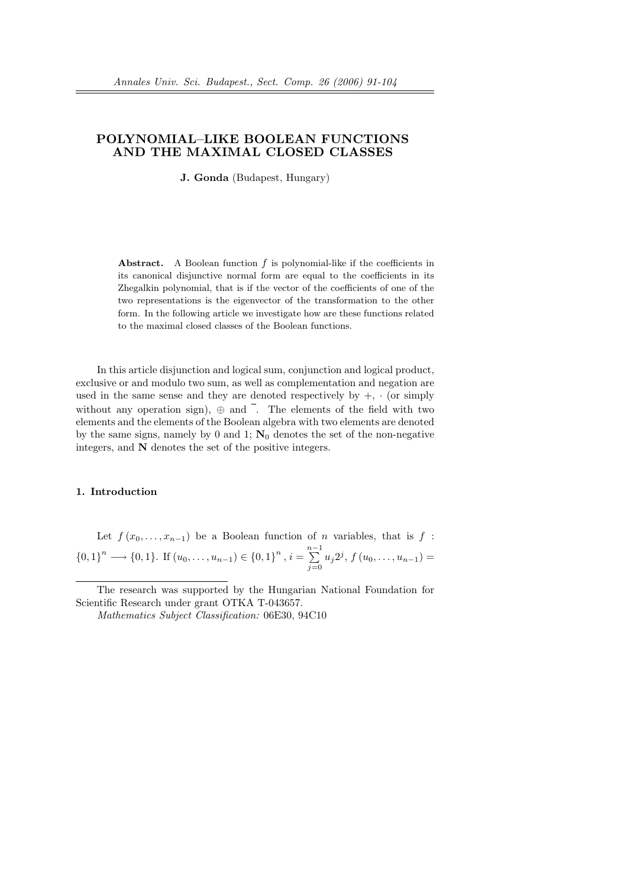# POLYNOMIAL–LIKE BOOLEAN FUNCTIONS AND THE MAXIMAL CLOSED CLASSES

J. Gonda (Budapest, Hungary)

**Abstract.** A Boolean function  $f$  is polynomial-like if the coefficients in its canonical disjunctive normal form are equal to the coefficients in its Zhegalkin polynomial, that is if the vector of the coefficients of one of the two representations is the eigenvector of the transformation to the other form. In the following article we investigate how are these functions related to the maximal closed classes of the Boolean functions.

In this article disjunction and logical sum, conjunction and logical product, exclusive or and modulo two sum, as well as complementation and negation are used in the same sense and they are denoted respectively by  $+$ ,  $\cdot$  (or simply without any operation sign),  $\oplus$  and  $\overline{\phantom{a}}$ . The elements of the field with two elements and the elements of the Boolean algebra with two elements are denoted by the same signs, namely by 0 and 1;  $\mathbf{N}_0$  denotes the set of the non-negative integers, and N denotes the set of the positive integers.

# 1. Introduction

Let  $f(x_0, \ldots, x_{n-1})$  be a Boolean function of n variables, that is f :  ${0, 1}^n \longrightarrow {0, 1}$ . If  $(u_0, \ldots, u_{n-1}) \in {0, 1}^n$ ,  $i = \sum^{n-1}$  $\sum_{j=0} u_j 2^j, f(u_0, \ldots, u_{n-1}) =$ 

The research was supported by the Hungarian National Foundation for Scientific Research under grant OTKA T-043657.

Mathematics Subject Classification: 06E30, 94C10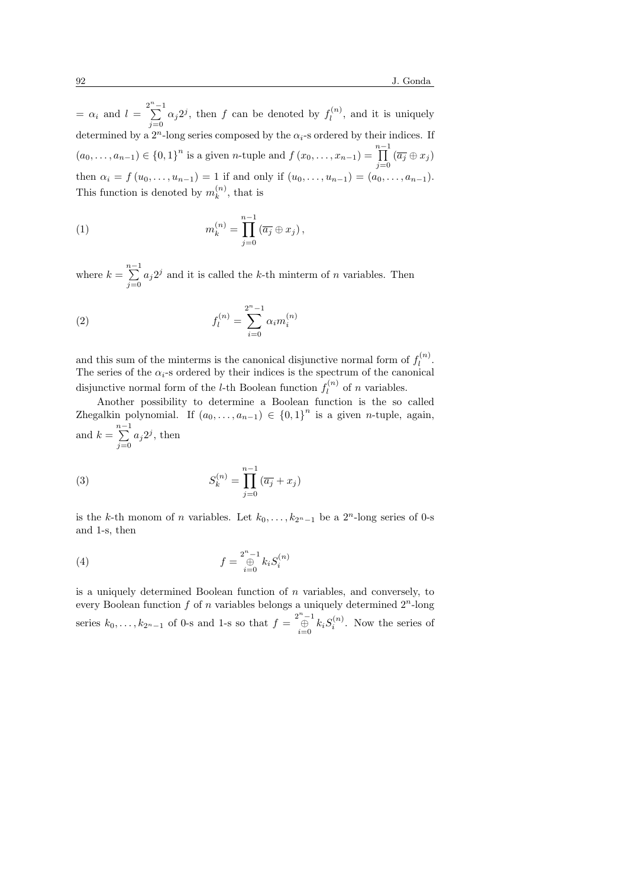$= \alpha_i$  and  $l = \sum_{i=1}^{2^n - 1}$  $\sum_{j=0}^{\infty} \alpha_j 2^j$ , then f can be denoted by  $f_l^{(n)}$  $l_l^{(n)}$ , and it is uniquely determined by a  $2^n$ -long series composed by the  $\alpha_i$ -s ordered by their indices. If  $(a_0, \ldots, a_{n-1}) \in \{0,1\}^n$  is a given *n*-tuple and  $f(x_0, \ldots, x_{n-1}) = \prod^{n-1}$  $\prod_{j=0} (\overline{a_j} \oplus x_j)$ then  $\alpha_i = f(u_0, \ldots, u_{n-1}) = 1$  if and only if  $(u_0, \ldots, u_{n-1}) = (a_0, \ldots, a_{n-1}).$ This function is denoted by  $m_k^{(n)}$  $\binom{n}{k}$ , that is

(1) 
$$
m_k^{(n)} = \prod_{j=0}^{n-1} (\overline{a_j} \oplus x_j),
$$

where  $k = \sum_{n=1}^{n-1}$  $\sum_{j=0} a_j 2^j$  and it is called the k-th minterm of n variables. Then

(2) 
$$
f_l^{(n)} = \sum_{i=0}^{2^n - 1} \alpha_i m_i^{(n)}
$$

and this sum of the minterms is the canonical disjunctive normal form of  $f_l^{(n)}$  $\frac{1}{l}$ . The series of the  $\alpha_i$ -s ordered by their indices is the spectrum of the canonical disjunctive normal form of the *l*-th Boolean function  $f_l^{(n)}$  $\ell^{(n)}$  of *n* variables.

Another possibility to determine a Boolean function is the so called Zhegalkin polynomial. If  $(a_0, \ldots, a_{n-1}) \in \{0,1\}^n$  is a given *n*-tuple, again, and  $k = \sum_{n=1}^{n-1}$  $\sum_{j=0} a_j 2^j$ , then

(3) 
$$
S_k^{(n)} = \prod_{j=0}^{n-1} (\overline{a_j} + x_j)
$$

is the k-th monom of n variables. Let  $k_0, \ldots, k_{2n-1}$  be a  $2^n$ -long series of 0-s and 1-s, then

(4) 
$$
f = \bigoplus_{i=0}^{2^{n}-1} k_{i} S_{i}^{(n)}
$$

is a uniquely determined Boolean function of  $n$  variables, and conversely, to every Boolean function f of n variables belongs a uniquely determined  $2^n$ -long series  $k_0, \ldots, k_{2n-1}$  of 0-s and 1-s so that  $f = \bigoplus_{i=0}^{2^n-1} k_i S_i^{(n)}$ . Now the series of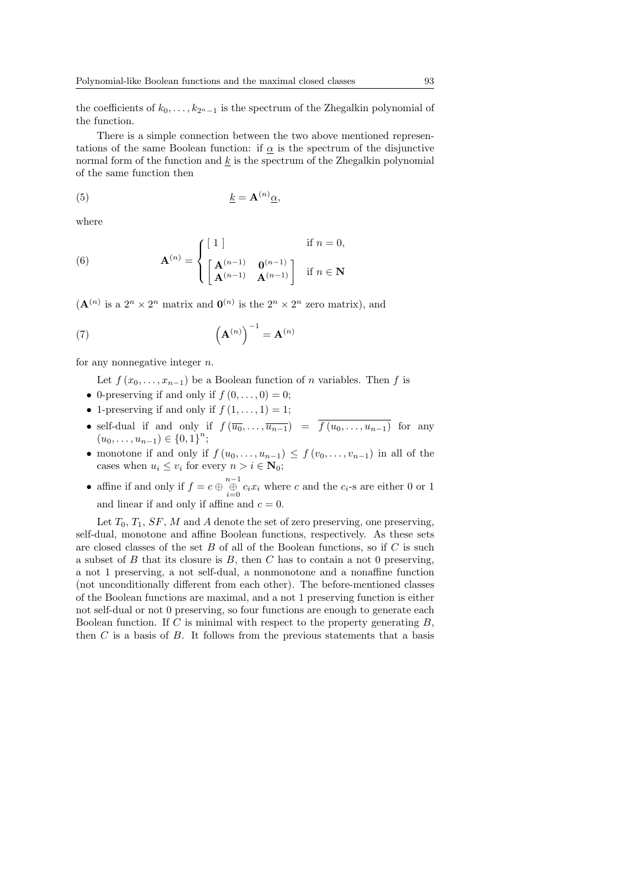the coefficients of  $k_0, \ldots, k_{2n-1}$  is the spectrum of the Zhegalkin polynomial of the function.

There is a simple connection between the two above mentioned representations of the same Boolean function: if  $\alpha$  is the spectrum of the disjunctive normal form of the function and  $k$  is the spectrum of the Zhegalkin polynomial of the same function then

(5) k = A(n)α,

where

(6) 
$$
\mathbf{A}^{(n)} = \begin{cases} \begin{bmatrix} 1 \end{bmatrix} & \text{if } n = 0, \\ \begin{bmatrix} \mathbf{A}^{(n-1)} & \mathbf{0}^{(n-1)} \\ \mathbf{A}^{(n-1)} & \mathbf{A}^{(n-1)} \end{bmatrix} & \text{if } n \in \mathbb{N} \end{cases}
$$

 $(\mathbf{A}^{(n)}$  is a  $2^n \times 2^n$  matrix and  $\mathbf{0}^{(n)}$  is the  $2^n \times 2^n$  zero matrix), and

(7) 
$$
\left(\mathbf{A}^{(n)}\right)^{-1} = \mathbf{A}^{(n)}
$$

for any nonnegative integer  $n$ .

Let  $f(x_0, \ldots, x_{n-1})$  be a Boolean function of n variables. Then f is

- 0-preserving if and only if  $f(0,\ldots,0)=0$ ;
- 1-preserving if and only if  $f(1,\ldots,1)=1$ ;
- self-dual if and only if  $f(\overline{u_0}, \ldots, \overline{u_{n-1}}) = \overline{f(u_0, \ldots, u_{n-1})}$  for any  $(u_0, \ldots, u_{n-1}) \in \{0, 1\}^n;$
- monotone if and only if  $f(u_0, \ldots, u_{n-1}) \leq f(v_0, \ldots, v_{n-1})$  in all of the cases when  $u_i \leq v_i$  for every  $n > i \in \mathbb{N}_0$ ;
- affine if and only if  $f = c \bigoplus_{i=0}^{n-1} c_i x_i$  where c and the  $c_i$ -s are either 0 or 1 and linear if and only if affine and  $c = 0$ .

Let  $T_0$ ,  $T_1$ ,  $SF$ , M and A denote the set of zero preserving, one preserving, self-dual, monotone and affine Boolean functions, respectively. As these sets are closed classes of the set B of all of the Boolean functions, so if  $C$  is such a subset of B that its closure is B, then C has to contain a not 0 preserving, a not 1 preserving, a not self-dual, a nonmonotone and a nonaffine function (not unconditionally different from each other). The before-mentioned classes of the Boolean functions are maximal, and a not 1 preserving function is either not self-dual or not 0 preserving, so four functions are enough to generate each Boolean function. If C is minimal with respect to the property generating  $B$ , then  $C$  is a basis of  $B$ . It follows from the previous statements that a basis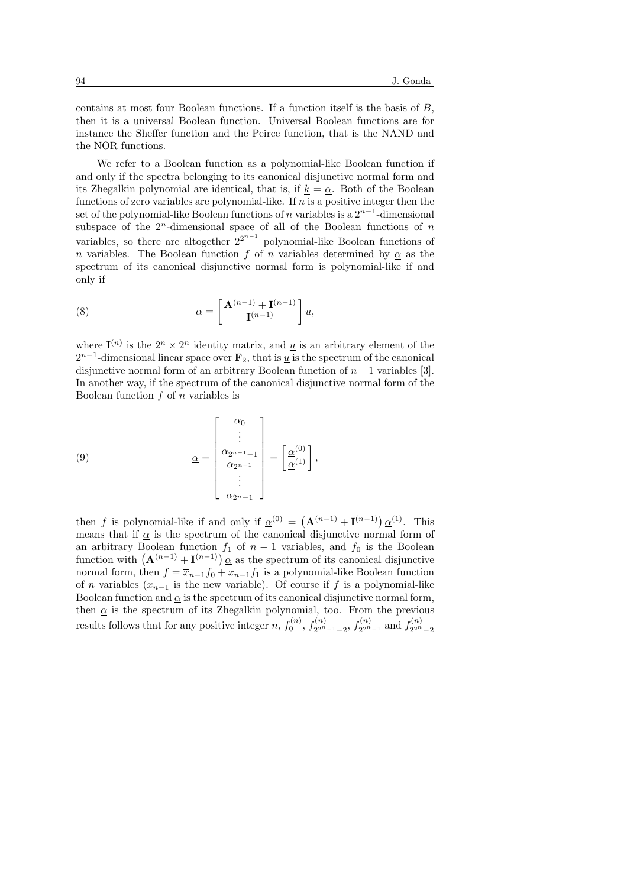contains at most four Boolean functions. If a function itself is the basis of B, then it is a universal Boolean function. Universal Boolean functions are for instance the Sheffer function and the Peirce function, that is the NAND and the NOR functions.

We refer to a Boolean function as a polynomial-like Boolean function if and only if the spectra belonging to its canonical disjunctive normal form and its Zhegalkin polynomial are identical, that is, if  $k = \alpha$ . Both of the Boolean functions of zero variables are polynomial-like. If  $n$  is a positive integer then the set of the polynomial-like Boolean functions of n variables is a  $2^{n-1}$ -dimensional subspace of the  $2<sup>n</sup>$ -dimensional space of all of the Boolean functions of n variables, so there are altogether  $2^{2^{n-1}}$  polynomial-like Boolean functions of n variables. The Boolean function f of n variables determined by  $\alpha$  as the spectrum of its canonical disjunctive normal form is polynomial-like if and only if

(8) 
$$
\underline{\alpha} = \begin{bmatrix} \mathbf{A}^{(n-1)} + \mathbf{I}^{(n-1)} \\ \mathbf{I}^{(n-1)} \end{bmatrix} \underline{u},
$$

where  $I^{(n)}$  is the  $2^n \times 2^n$  identity matrix, and  $\underline{u}$  is an arbitrary element of the  $2^{n-1}$ -dimensional linear space over  $\mathbf{F}_2$ , that is  $\underline{u}$  is the spectrum of the canonical disjunctive normal form of an arbitrary Boolean function of  $n-1$  variables [3]. In another way, if the spectrum of the canonical disjunctive normal form of the Boolean function  $f$  of  $n$  variables is

(9) 
$$
\underline{\alpha} = \begin{bmatrix} \alpha_0 \\ \vdots \\ \alpha_{2^{n-1}-1} \\ \alpha_{2^{n-1}} \\ \vdots \\ \alpha_{2^{n}-1} \end{bmatrix} = \left[ \underline{\alpha}^{(0)} \atop \underline{\alpha}^{(1)} \right],
$$

then f is polynomial-like if and only if  $\alpha^{(0)} = (\mathbf{A}^{(n-1)} + \mathbf{I}^{(n-1)}) \alpha^{(1)}$ . This means that if  $\alpha$  is the spectrum of the canonical disjunctive normal form of an arbitrary Boolean function  $f_1$  of  $n-1$  variables, and  $f_0$  is the Boolean an arbitrary boolean function  $J_1$  or  $n-1$  variables, and  $J_0$  is the boolean<br>function with  $({\bf A}^{(n-1)} + {\bf I}^{(n-1)}) \alpha$  as the spectrum of its canonical disjunctive normal form, then  $f = \overline{x}_{n-1}f_0 + x_{n-1}f_1$  is a polynomial-like Boolean function of n variables  $(x_{n-1}$  is the new variable). Of course if f is a polynomial-like Boolean function and  $\alpha$  is the spectrum of its canonical disjunctive normal form, then  $\alpha$  is the spectrum of its Zhegalkin polynomial, too. From the previous results follows that for any positive integer n,  $f_0^{(n)}$ ,  $f_{2^{2^n}}^{(n)}$  $f_{2^{2^n-1}-2}^{(n)}, f_{2^{2^n}}^{(n)}$  $f_{2^{2^{n}-1}}^{(n)}$  and  $f_{2^{2^{n}}}^{(n)}$  $2^{2^n}-2$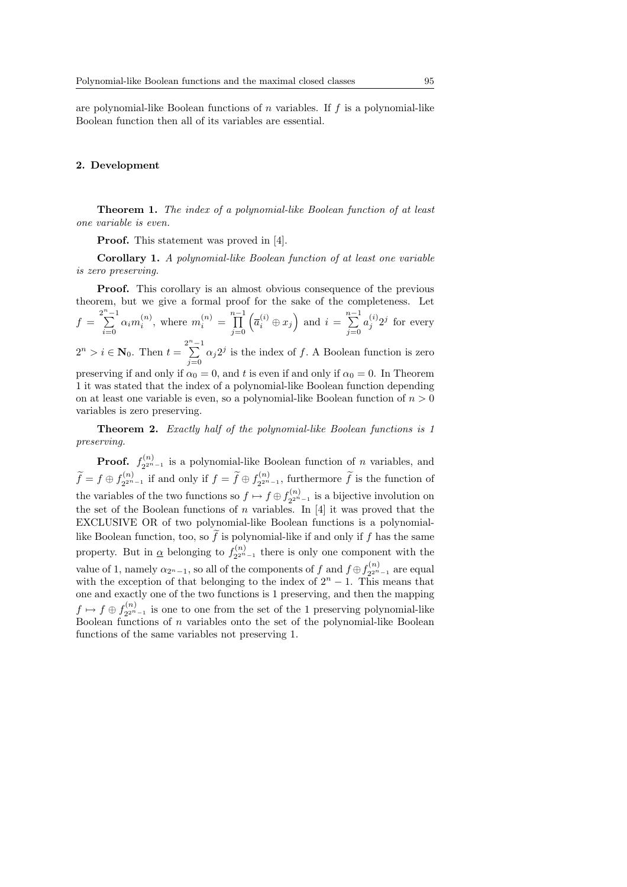are polynomial-like Boolean functions of n variables. If f is a polynomial-like Boolean function then all of its variables are essential.

#### 2. Development

Theorem 1. The index of a polynomial-like Boolean function of at least one variable is even.

Proof. This statement was proved in [4].

Corollary 1. A polynomial-like Boolean function of at least one variable is zero preserving.

**Proof.** This corollary is an almost obvious consequence of the previous theorem, but we give a formal proof for the sake of the completeness. Let

$$
f = \sum_{i=0}^{2^{n}-1} \alpha_i m_i^{(n)}, \text{ where } m_i^{(n)} = \prod_{j=0}^{n-1} \left( \overline{a}_i^{(i)} \oplus x_j \right) \text{ and } i = \sum_{j=0}^{n-1} a_j^{(i)} 2^j \text{ for every}
$$

 $2^n > i \in \mathbb{N}_0$ . Then  $t = \sum_{i=1}^{2^n - 1}$  $\sum_{j=0} \alpha_j 2^j$  is the index of f. A Boolean function is zero

preserving if and only if  $\alpha_0 = 0$ , and t is even if and only if  $\alpha_0 = 0$ . In Theorem 1 it was stated that the index of a polynomial-like Boolean function depending on at least one variable is even, so a polynomial-like Boolean function of  $n > 0$ variables is zero preserving.

**Theorem 2.** Exactly half of the polynomial-like Boolean functions is 1 preserving.

Proof.  $f_{2^{2n}}^{(n)}$  $2^{2^{n}-1}$  is a polynomial-like Boolean function of *n* variables, and  $\widetilde{f} = f \oplus f_{2^{2^n}}^{(n)}$  $x_2^{(n)}$ <sub>2<sup>2n</sup>-1</sub> if and only if  $f = \widetilde{f} \oplus f_{2^{2^n}}^{(n)}$  $\widetilde{Z}_{2^{2^{n}-1}}^{(n)}$ , furthermore  $\widetilde{f}$  is the function of the variables of the two functions so  $f \mapsto f \oplus f_{2n}^{(n)}$  $\chi^{(n)}_{2^{2n}-1}$  is a bijective involution on the set of the Boolean functions of  $n$  variables. In [4] it was proved that the EXCLUSIVE OR of two polynomial-like Boolean functions is a polynomiallike Boolean function, too, so  $\tilde{f}$  is polynomial-like if and only if f has the same property. But in  $\alpha$  belonging to  $f_{2^{2^n}}^{(n)}$  $2^{2^{n}-1}$  there is only one component with the value of 1, namely  $\alpha_{2^{n}-1}$ , so all of the components of f and  $f \oplus f_{2^{2^{n}}}^{(n)}$  $\binom{n}{2^{2^n-1}}$  are equal with the exception of that belonging to the index of  $2<sup>n</sup> - 1$ . This means that one and exactly one of the two functions is 1 preserving, and then the mapping  $f \mapsto f \oplus f_{2^{2^n}}^{(n)}$  $2^{2^{n}-1}$  is one to one from the set of the 1 preserving polynomial-like Boolean functions of  $n$  variables onto the set of the polynomial-like Boolean functions of the same variables not preserving 1.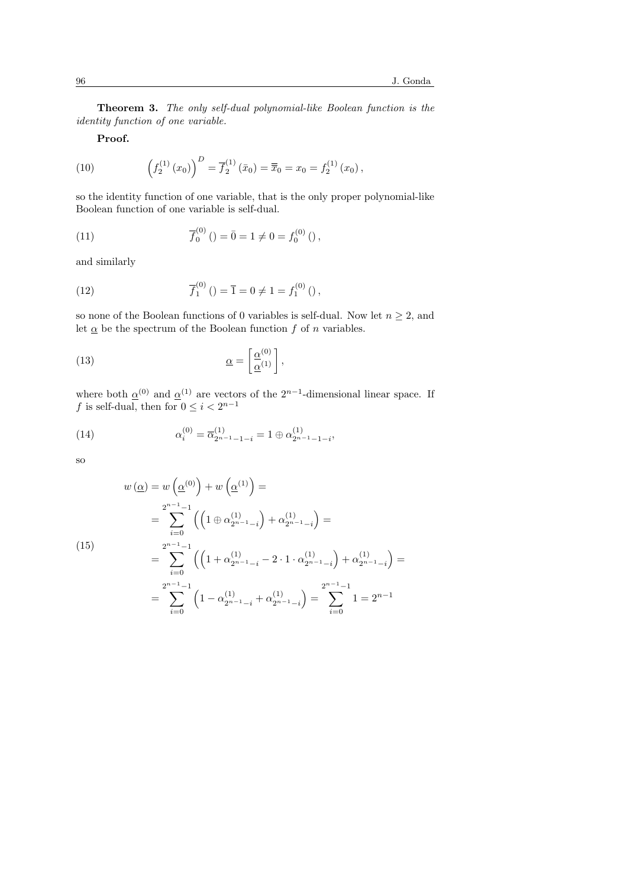Theorem 3. The only self-dual polynomial-like Boolean function is the identity function of one variable.

Proof.

(10) 
$$
\left(f_2^{(1)}(x_0)\right)^D = \overline{f}_2^{(1)}(\bar{x}_0) = \overline{\bar{x}}_0 = x_0 = f_2^{(1)}(x_0),
$$

so the identity function of one variable, that is the only proper polynomial-like Boolean function of one variable is self-dual.

(11) 
$$
\overline{f}_0^{(0)}\left(\right) = \overline{0} = 1 \neq 0 = f_0^{(0)}\left(\right),
$$

and similarly

(12) 
$$
\overline{f}_1^{(0)}\left(\right) = \overline{1} = 0 \neq 1 = f_1^{(0)}\left(\right),
$$

so none of the Boolean functions of 0 variables is self-dual. Now let  $n \geq 2$ , and let  $\underline{\alpha}$  be the spectrum of the Boolean function  $f$  of  $n$  variables.

(13) 
$$
\underline{\alpha} = \begin{bmatrix} \underline{\alpha}^{(0)} \\ \underline{\alpha}^{(1)} \end{bmatrix},
$$

where both  $\alpha^{(0)}$  and  $\alpha^{(1)}$  are vectors of the  $2^{n-1}$ -dimensional linear space. If f is self-dual, then for  $0 \leq i < 2^{n-1}$ 

(14) 
$$
\alpha_i^{(0)} = \overline{\alpha}_{2^{n-1}-1-i}^{(1)} = 1 \oplus \alpha_{2^{n-1}-1-i}^{(1)},
$$

so

$$
w(\underline{\alpha}) = w(\underline{\alpha}^{(0)}) + w(\underline{\alpha}^{(1)}) =
$$
  
= 
$$
\sum_{i=0}^{2^{n-1}-1} ((1 \oplus \alpha_{2^{n-1}-i}^{(1)}) + \alpha_{2^{n-1}-i}^{(1)}) =
$$
  
= 
$$
\sum_{i=0}^{2^{n-1}-1} ((1 + \alpha_{2^{n-1}-i}^{(1)} - 2 \cdot 1 \cdot \alpha_{2^{n-1}-i}^{(1)}) + \alpha_{2^{n-1}-i}^{(1)}) =
$$
  
= 
$$
\sum_{i=0}^{2^{n-1}-1} (1 - \alpha_{2^{n-1}-i}^{(1)} + \alpha_{2^{n-1}-i}^{(1)}) = \sum_{i=0}^{2^{n-1}-1} 1 = 2^{n-1}
$$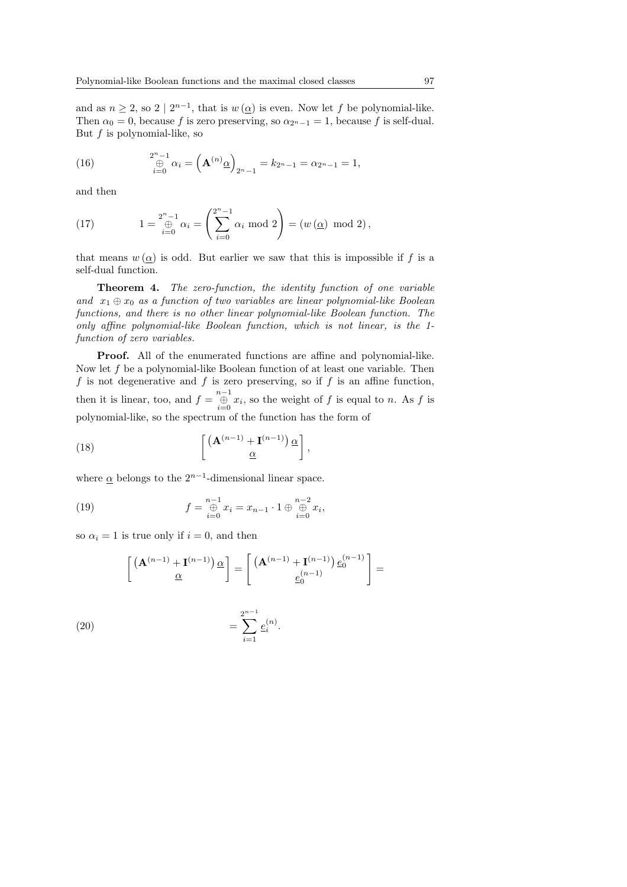and as  $n \geq 2$ , so  $2 \mid 2^{n-1}$ , that is  $w(\underline{\alpha})$  is even. Now let f be polynomial-like. Then  $\alpha_0 = 0$ , because f is zero preserving, so  $\alpha_{2n-1} = 1$ , because f is self-dual. But  $f$  is polynomial-like, so

(16) 
$$
\bigoplus_{i=0}^{2^n-1} \alpha_i = \left(\mathbf{A}^{(n)} \underline{\alpha}\right)_{2^n-1} = k_{2^n-1} = \alpha_{2^n-1} = 1,
$$

and then

(17) 
$$
1 = \bigoplus_{i=0}^{2^{n}-1} \alpha_{i} = \left(\sum_{i=0}^{2^{n}-1} \alpha_{i} \mod 2\right) = (w(\underline{\alpha}) \mod 2),
$$

that means  $w(\alpha)$  is odd. But earlier we saw that this is impossible if f is a self-dual function.

**Theorem 4.** The zero-function, the identity function of one variable and  $x_1 \oplus x_0$  as a function of two variables are linear polynomial-like Boolean functions, and there is no other linear polynomial-like Boolean function. The only affine polynomial-like Boolean function, which is not linear, is the 1 function of zero variables.

Proof. All of the enumerated functions are affine and polynomial-like. Now let  $f$  be a polynomial-like Boolean function of at least one variable. Then f is not degenerative and f is zero preserving, so if f is an affine function, then it is linear, too, and  $f = \bigoplus_{i=0}^{n-1} x_i$ , so the weight of f is equal to n. As f is polynomial-like, so the spectrum of the function has the form of

(18) 
$$
\left[ \frac{\left( \mathbf{A}^{(n-1)} + \mathbf{I}^{(n-1)} \right) \alpha}{\underline{\alpha}} \right],
$$

where  $\alpha$  belongs to the  $2^{n-1}$ -dimensional linear space.

(19) 
$$
f = \bigoplus_{i=0}^{n-1} x_i = x_{n-1} \cdot 1 \oplus \bigoplus_{i=0}^{n-2} x_i,
$$

so  $\alpha_i = 1$  is true only if  $i = 0$ , and then

$$
\left[\begin{array}{c} \left(\mathbf{A}^{(n-1)}+\mathbf{I}^{(n-1)}\right)\underline{\alpha}\\ \underline{\alpha}\end{array}\right]=\left[\begin{array}{c} \left(\mathbf{A}^{(n-1)}+\mathbf{I}^{(n-1)}\right)\underline{e}_{0}^{(n-1)}\\ \underline{e}_{0}^{(n-1)}\end{array}\right]=
$$

.

(20) 
$$
= \sum_{i=1}^{2^{n-1}} e_i^{(n)}
$$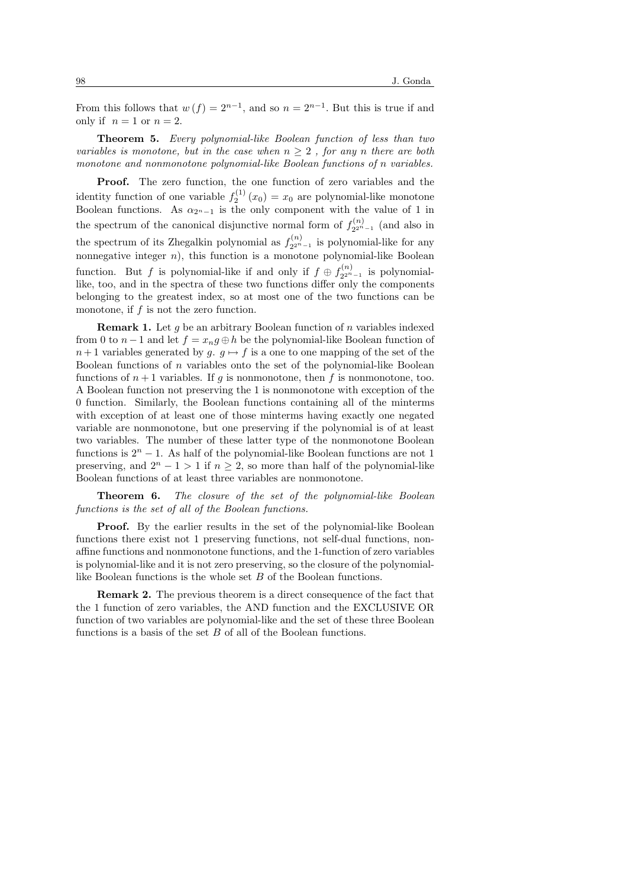From this follows that  $w(f) = 2^{n-1}$ , and so  $n = 2^{n-1}$ . But this is true if and only if  $n = 1$  or  $n = 2$ .

Theorem 5. Every polynomial-like Boolean function of less than two variables is monotone, but in the case when  $n \geq 2$ , for any n there are both monotone and nonmonotone polynomial-like Boolean functions of n variables.

Proof. The zero function, the one function of zero variables and the identity function of one variable  $f_2^{(1)}(x_0) = x_0$  are polynomial-like monotone Boolean functions. As  $\alpha_{2^{n}-1}$  is the only component with the value of 1 in the spectrum of the canonical disjunctive normal form of  $f_{2n}^{(n)}$  $\sum_{2^{2^n-1}}^{(n)}$  (and also in the spectrum of its Zhegalkin polynomial as  $f_{2n}^{(n)}$  $\sum_{2^{2^{n}-1}}^{\infty}$  is polynomial-like for any nonnegative integer  $n$ ), this function is a monotone polynomial-like Boolean function. But f is polynomial-like if and only if  $f \oplus f_{2n}^{(n)}$  $\sum_{2^{2^n-1}}^{\infty}$  is polynomiallike, too, and in the spectra of these two functions differ only the components belonging to the greatest index, so at most one of the two functions can be monotone, if f is not the zero function.

**Remark 1.** Let  $g$  be an arbitrary Boolean function of  $n$  variables indexed from 0 to  $n-1$  and let  $f = x_n q \oplus h$  be the polynomial-like Boolean function of  $n+1$  variables generated by  $g \mapsto f$  is a one to one mapping of the set of the Boolean functions of n variables onto the set of the polynomial-like Boolean functions of  $n+1$  variables. If q is nonmonotone, then f is nonmonotone, too. A Boolean function not preserving the 1 is nonmonotone with exception of the 0 function. Similarly, the Boolean functions containing all of the minterms with exception of at least one of those minterms having exactly one negated variable are nonmonotone, but one preserving if the polynomial is of at least two variables. The number of these latter type of the nonmonotone Boolean functions is  $2<sup>n</sup> - 1$ . As half of the polynomial-like Boolean functions are not 1 preserving, and  $2^{n} - 1 > 1$  if  $n \ge 2$ , so more than half of the polynomial-like Boolean functions of at least three variables are nonmonotone.

Theorem 6. The closure of the set of the polynomial-like Boolean functions is the set of all of the Boolean functions.

Proof. By the earlier results in the set of the polynomial-like Boolean functions there exist not 1 preserving functions, not self-dual functions, nonaffine functions and nonmonotone functions, and the 1-function of zero variables is polynomial-like and it is not zero preserving, so the closure of the polynomiallike Boolean functions is the whole set B of the Boolean functions.

Remark 2. The previous theorem is a direct consequence of the fact that the 1 function of zero variables, the AND function and the EXCLUSIVE OR function of two variables are polynomial-like and the set of these three Boolean functions is a basis of the set  $B$  of all of the Boolean functions.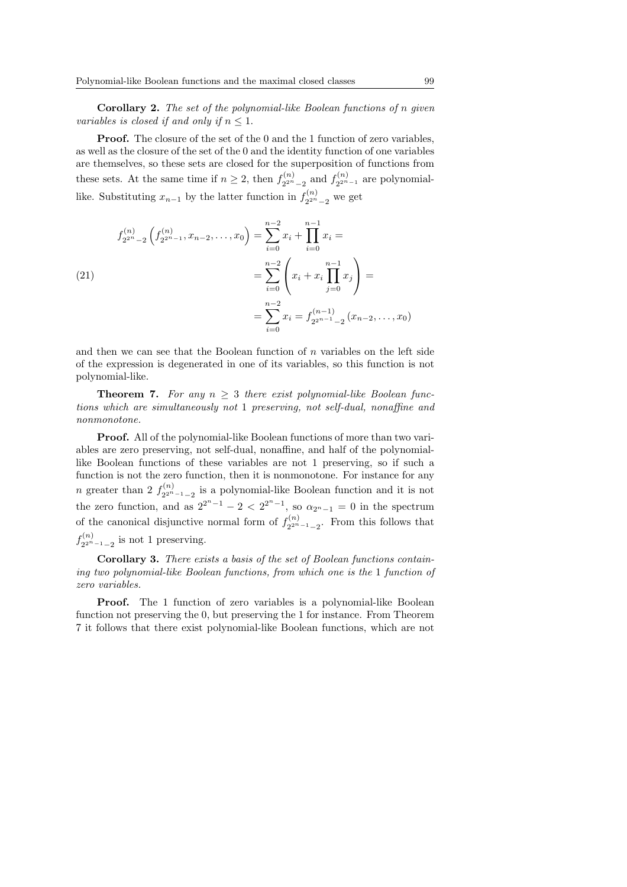Corollary 2. The set of the polynomial-like Boolean functions of n given variables is closed if and only if  $n \leq 1$ .

Proof. The closure of the set of the 0 and the 1 function of zero variables, as well as the closure of the set of the 0 and the identity function of one variables are themselves, so these sets are closed for the superposition of functions from these sets. At the same time if  $n \geq 2$ , then  $f_{2^{2n}}^{(n)}$  $f_{2^{2^n}-2}^{(n)}$  and  $f_{2^{2^n}}^{(n)}$  $x_2^{(n)}$ <sub>2<sup>2n</sup>-1</sub> are polynomiallike. Substituting  $x_{n-1}$  by the latter function in  $f_{2^{2^n}}^{(n)}$  $\frac{2^{n}}{2^{2^{n}}-2}$  we get

(21)  
\n
$$
f_{2^{2^{n}}-2}^{(n)}\left(f_{2^{2^{n}}-1}^{(n)}, x_{n-2}, \dots, x_0\right) = \sum_{i=0}^{n-2} x_i + \prod_{i=0}^{n-1} x_i =
$$
\n
$$
= \sum_{i=0}^{n-2} \left(x_i + x_i \prod_{j=0}^{n-1} x_j\right) =
$$
\n
$$
= \sum_{i=0}^{n-2} x_i = f_{2^{2^{n-1}}-2}^{(n-1)}\left(x_{n-2}, \dots, x_0\right)
$$

and then we can see that the Boolean function of  $n$  variables on the left side of the expression is degenerated in one of its variables, so this function is not polynomial-like.

**Theorem 7.** For any  $n > 3$  there exist polynomial-like Boolean functions which are simultaneously not 1 preserving, not self-dual, nonaffine and nonmonotone.

Proof. All of the polynomial-like Boolean functions of more than two variables are zero preserving, not self-dual, nonaffine, and half of the polynomiallike Boolean functions of these variables are not 1 preserving, so if such a function is not the zero function, then it is nonmonotone. For instance for any *n* greater than 2  $f_{2n}^{(n)}$  $2^{2^{n}-1}-2$  is a polynomial-like Boolean function and it is not the zero function, and as  $2^{2^{n}-1} - 2 < 2^{2^{n}-1}$ , so  $\alpha_{2^{n}-1} = 0$  in the spectrum of the canonical disjunctive normal form of  $f_{2n}^{(n)}$  $x_2^{(n)}$ <sub>2<sup>2n</sup>-1<sub>-2</sub></sub>. From this follows that  $f_{2n}^{(n)}$  $\frac{2^{2n}-1}{2^{2n}-1}$  is not 1 preserving.

Corollary 3. There exists a basis of the set of Boolean functions containing two polynomial-like Boolean functions, from which one is the 1 function of zero variables.

Proof. The 1 function of zero variables is a polynomial-like Boolean function not preserving the 0, but preserving the 1 for instance. From Theorem 7 it follows that there exist polynomial-like Boolean functions, which are not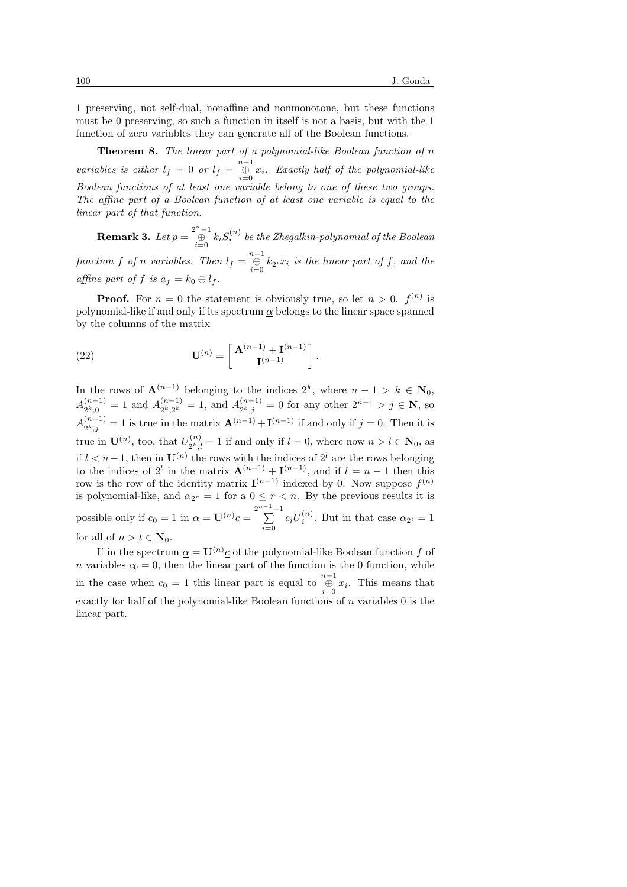1 preserving, not self-dual, nonaffine and nonmonotone, but these functions must be 0 preserving, so such a function in itself is not a basis, but with the 1 function of zero variables they can generate all of the Boolean functions.

**Theorem 8.** The linear part of a polynomial-like Boolean function of  $n$ variables is either  $l_f = 0$  or  $l_f = \bigoplus_{i=0}^{n-1} x_i$ . Exactly half of the polynomial-like Boolean functions of at least one variable belong to one of these two groups. The affine part of a Boolean function of at least one variable is equal to the linear part of that function.

**Remark 3.** Let  $p = \bigoplus_{i=0}^{2^n-1} k_i S_i^{(n)}$  be the Zhegalkin-polynomial of the Boolean function f of n variables. Then  $l_f = \bigoplus_{i=0}^{n-1} k_{2^i} x_i$  is the linear part of f, and the affine part of f is  $a_f = k_0 \oplus l_f$ .

**Proof.** For  $n = 0$  the statement is obviously true, so let  $n > 0$ .  $f^{(n)}$  is polynomial-like if and only if its spectrum  $\alpha$  belongs to the linear space spanned by the columns of the matrix

(22) 
$$
\mathbf{U}^{(n)} = \begin{bmatrix} \mathbf{A}^{(n-1)} + \mathbf{I}^{(n-1)} \\ \mathbf{I}^{(n-1)} \end{bmatrix}.
$$

In the rows of  $\mathbf{A}^{(n-1)}$  belonging to the indices  $2^k$ , where  $n-1 > k \in \mathbf{N}_0$ ,  $A_{2k}^{(n-1)}$  $\binom{(n-1)}{2^k,0} = 1$  and  $A_{2^k,2^k}^{(n-1)}$  $\lambda_{2^k,2^k}^{(n-1)} = 1$ , and  $A_{2^k,j}^{(n-1)}$  $\mathbb{R}^{(n-1)}_{2^k,j} = 0$  for any other  $2^{n-1} > j \in \mathbb{N}$ , so  $A^{(n-1)}_{2k,i}$  $\mathbf{A}^{(n-1)} = 1$  is true in the matrix  $\mathbf{A}^{(n-1)} + \mathbf{I}^{(n-1)}$  if and only if  $j = 0$ . Then it is true in  $\mathbf{U}^{(n)}$ , too, that  $U_{\alpha k}^{(n)}$  $z_{2^k,l}^{(n)} = 1$  if and only if  $l = 0$ , where now  $n > l \in \mathbb{N}_0$ , as if  $l < n-1$ , then in  $\mathbf{U}^{(n)}$  the rows with the indices of  $2^l$  are the rows belonging to the indices of 2<sup>l</sup> in the matrix  $\mathbf{A}^{(n-1)} + \mathbf{I}^{(n-1)}$ , and if  $l = n-1$  then this row is the row of the identity matrix  $I^{(n-1)}$  indexed by 0. Now suppose  $f^{(n)}$ is polynomial-like, and  $\alpha_{2r} = 1$  for a  $0 \leq r < n$ . By the previous results it is possible only if  $c_0 = 1$  in  $\underline{\alpha} = \mathbf{U}^{(n)} \underline{c} = \sum_{n=1}^{2^{n-1}-1}$  $\sum_{i=0}^{\infty} c_i \underline{U}_i^{(n)}$ . But in that case  $\alpha_{2^t} = 1$ for all of  $n > t \in \mathbb{N}_0$ .

If in the spectrum  $\underline{\alpha} = \mathbf{U}^{(n)}\underline{c}$  of the polynomial-like Boolean function f of n variables  $c_0 = 0$ , then the linear part of the function is the 0 function, while in the case when  $c_0 = 1$  this linear part is equal to  $\bigoplus_{i=0}^{n-1} x_i$ . This means that exactly for half of the polynomial-like Boolean functions of  $n$  variables  $0$  is the linear part.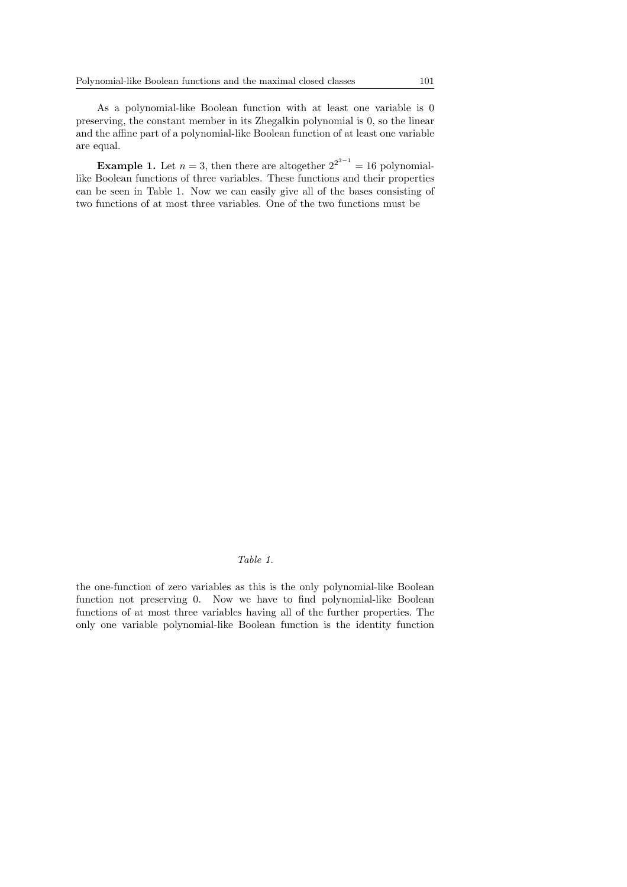As a polynomial-like Boolean function with at least one variable is 0 preserving, the constant member in its Zhegalkin polynomial is 0, so the linear and the affine part of a polynomial-like Boolean function of at least one variable are equal.

**Example 1.** Let  $n = 3$ , then there are altogether  $2^{2^{3-1}} = 16$  polynomiallike Boolean functions of three variables. These functions and their properties can be seen in Table 1. Now we can easily give all of the bases consisting of two functions of at most three variables. One of the two functions must be

# Table 1.

the one-function of zero variables as this is the only polynomial-like Boolean function not preserving 0. Now we have to find polynomial-like Boolean functions of at most three variables having all of the further properties. The only one variable polynomial-like Boolean function is the identity function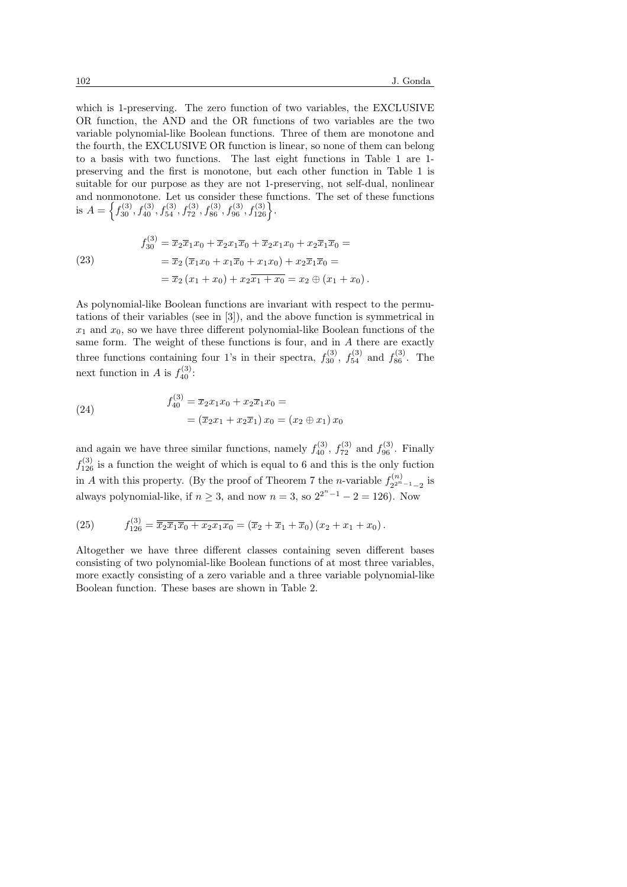which is 1-preserving. The zero function of two variables, the EXCLUSIVE OR function, the AND and the OR functions of two variables are the two variable polynomial-like Boolean functions. Three of them are monotone and the fourth, the EXCLUSIVE OR function is linear, so none of them can belong to a basis with two functions. The last eight functions in Table 1 are 1 preserving and the first is monotone, but each other function in Table 1 is suitable for our purpose as they are not 1-preserving, not self-dual, nonlinear and nonmonotone. Let us consider these functions. The set of these functions is  $A =$ n monotone. Let us consider these function  $f_{30}^{(3)}$ ,  $f_{40}^{(3)}$ ,  $f_{54}^{(3)}$ ,  $f_{72}^{(3)}$ ,  $f_{86}^{(3)}$ ,  $f_{96}^{(3)}$ ,  $f_{126}^{(3)}$ .

(23)  
\n
$$
f_{30}^{(3)} = \overline{x}_2 \overline{x}_1 x_0 + \overline{x}_2 x_1 \overline{x}_0 + \overline{x}_2 x_1 x_0 + x_2 \overline{x}_1 \overline{x}_0 =
$$
\n
$$
= \overline{x}_2 (\overline{x}_1 x_0 + x_1 \overline{x}_0 + x_1 x_0) + x_2 \overline{x}_1 \overline{x}_0 =
$$
\n
$$
= \overline{x}_2 (x_1 + x_0) + x_2 \overline{x}_1 + x_0 = x_2 \oplus (x_1 + x_0).
$$

As polynomial-like Boolean functions are invariant with respect to the permutations of their variables (see in [3]), and the above function is symmetrical in  $x_1$  and  $x_0$ , so we have three different polynomial-like Boolean functions of the same form. The weight of these functions is four, and in A there are exactly three functions containing four 1's in their spectra,  $f_{30}^{(3)}$ ,  $f_{54}^{(3)}$  and  $f_{86}^{(3)}$ . The next function in A is  $f_{40}^{(3)}$ :

(24) 
$$
f_{40}^{(3)} = \overline{x}_2 x_1 x_0 + x_2 \overline{x}_1 x_0 =
$$

$$
= (\overline{x}_2 x_1 + x_2 \overline{x}_1) x_0 = (x_2 \oplus x_1) x_0
$$

and again we have three similar functions, namely  $f_{40}^{(3)}$ ,  $f_{72}^{(3)}$  and  $f_{96}^{(3)}$ . Finally  $f_{126}^{(3)}$  is a function the weight of which is equal to 6 and this is the only fuction in A with this property. (By the proof of Theorem 7 the *n*-variable  $f_{2n}^{(n)}$  $\frac{2^{2n}-1}{2^{2n}-1}$  is always polynomial-like, if  $n \geq 3$ , and now  $n = 3$ , so  $2^{2^{n}-1} - 2 = 126$ ). Now

(25) 
$$
f_{126}^{(3)} = \overline{\overline{x}_2 \overline{x}_1 \overline{x}_0 + x_2 x_1 x_0} = (\overline{x}_2 + \overline{x}_1 + \overline{x}_0) (x_2 + x_1 + x_0).
$$

Altogether we have three different classes containing seven different bases consisting of two polynomial-like Boolean functions of at most three variables, more exactly consisting of a zero variable and a three variable polynomial-like Boolean function. These bases are shown in Table 2.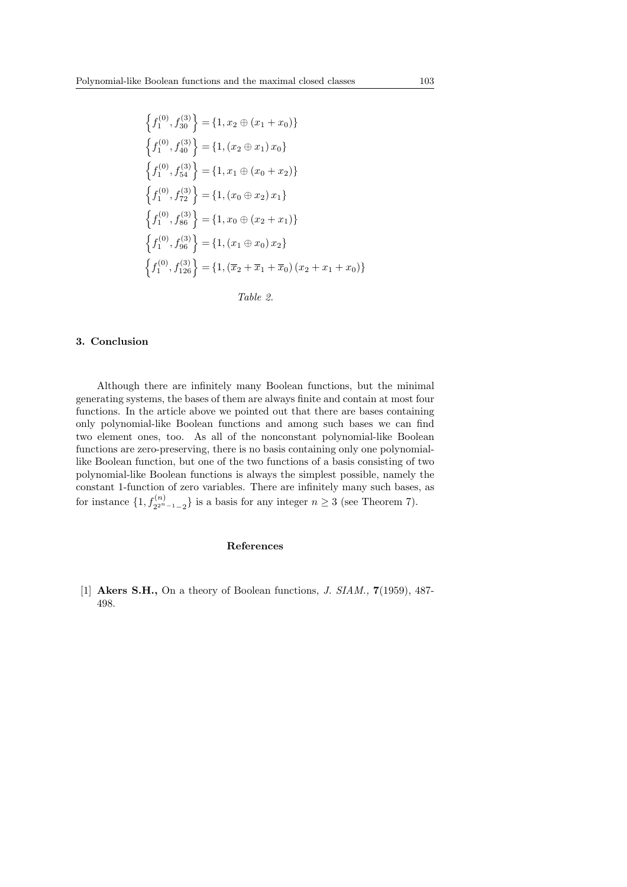$$
\begin{aligned}\n\left\{f_1^{(0)}, f_{30}^{(3)}\right\} &= \left\{1, x_2 \oplus (x_1 + x_0)\right\} \\
\left\{f_1^{(0)}, f_{40}^{(3)}\right\} &= \left\{1, (x_2 \oplus x_1) \, x_0\right\} \\
\left\{f_1^{(0)}, f_{54}^{(3)}\right\} &= \left\{1, x_1 \oplus (x_0 + x_2)\right\} \\
\left\{f_1^{(0)}, f_{72}^{(3)}\right\} &= \left\{1, (x_0 \oplus x_2) \, x_1\right\} \\
\left\{f_1^{(0)}, f_{86}^{(3)}\right\} &= \left\{1, x_0 \oplus (x_2 + x_1)\right\} \\
\left\{f_1^{(0)}, f_{96}^{(3)}\right\} &= \left\{1, (x_1 \oplus x_0) \, x_2\right\} \\
\left\{f_1^{(0)}, f_{126}^{(3)}\right\} &= \left\{1, (\overline{x}_2 + \overline{x}_1 + \overline{x}_0) \, (x_2 + x_1 + x_0)\right\}\n\end{aligned}
$$

| Table |  |
|-------|--|
|-------|--|

### 3. Conclusion

Although there are infinitely many Boolean functions, but the minimal generating systems, the bases of them are always finite and contain at most four functions. In the article above we pointed out that there are bases containing only polynomial-like Boolean functions and among such bases we can find two element ones, too. As all of the nonconstant polynomial-like Boolean functions are zero-preserving, there is no basis containing only one polynomiallike Boolean function, but one of the two functions of a basis consisting of two polynomial-like Boolean functions is always the simplest possible, namely the constant 1-function of zero variables. There are infinitely many such bases, as for instance  $\{1, f_{2^{2^n-1}-2}^{(n)}\}$  is a basis for any integer  $n \geq 3$  (see Theorem 7).

#### References

[1] Akers S.H., On a theory of Boolean functions, J. SIAM., 7(1959), 487- 498.